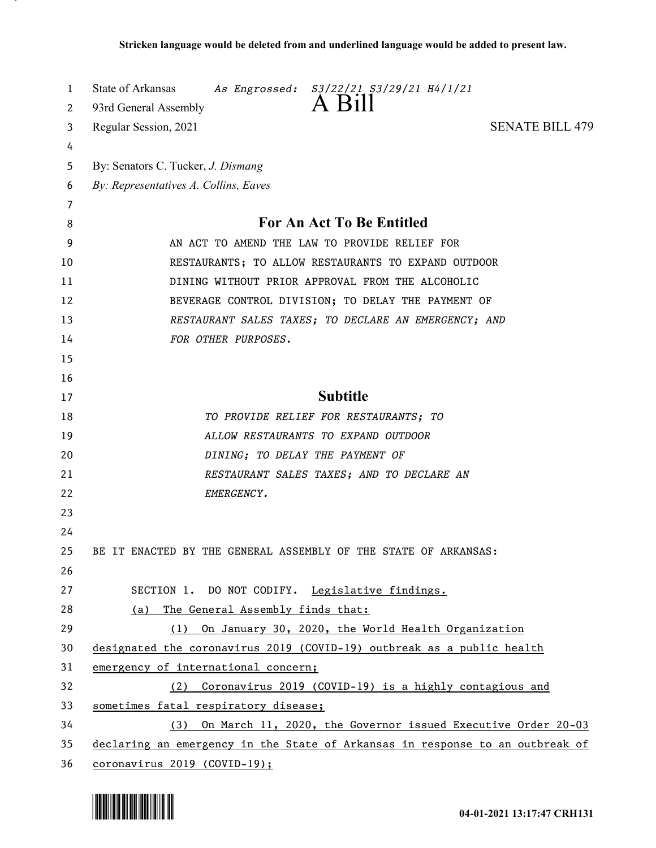| 1  | State of Arkansas<br>As Engrossed: S3/22/21 S3/29/21 H4/1/21                  |
|----|-------------------------------------------------------------------------------|
| 2  | $A$ Bill<br>93rd General Assembly                                             |
| 3  | <b>SENATE BILL 479</b><br>Regular Session, 2021                               |
| 4  |                                                                               |
| 5  | By: Senators C. Tucker, J. Dismang                                            |
| 6  | By: Representatives A. Collins, Eaves                                         |
| 7  |                                                                               |
| 8  | For An Act To Be Entitled                                                     |
| 9  | AN ACT TO AMEND THE LAW TO PROVIDE RELIEF FOR                                 |
| 10 | RESTAURANTS; TO ALLOW RESTAURANTS TO EXPAND OUTDOOR                           |
| 11 | DINING WITHOUT PRIOR APPROVAL FROM THE ALCOHOLIC                              |
| 12 | BEVERAGE CONTROL DIVISION; TO DELAY THE PAYMENT OF                            |
| 13 | RESTAURANT SALES TAXES; TO DECLARE AN EMERGENCY; AND                          |
| 14 | FOR OTHER PURPOSES.                                                           |
| 15 |                                                                               |
| 16 |                                                                               |
| 17 | <b>Subtitle</b>                                                               |
| 18 | TO PROVIDE RELIEF FOR RESTAURANTS; TO                                         |
| 19 | ALLOW RESTAURANTS TO EXPAND OUTDOOR                                           |
| 20 | DINING; TO DELAY THE PAYMENT OF                                               |
| 21 | RESTAURANT SALES TAXES; AND TO DECLARE AN                                     |
| 22 | EMERGENCY.                                                                    |
| 23 |                                                                               |
| 24 |                                                                               |
| 25 | BE IT ENACTED BY THE GENERAL ASSEMBLY OF THE STATE OF ARKANSAS:               |
| 26 |                                                                               |
| 27 | SECTION 1. DO NOT CODIFY. Legislative findings.                               |
| 28 | (a) The General Assembly finds that:                                          |
| 29 | (1) On January 30, 2020, the World Health Organization                        |
| 30 | designated the coronavirus 2019 (COVID-19) outbreak as a public health        |
| 31 | emergency of international concern;                                           |
| 32 | (2) Coronavirus 2019 (COVID-19) is a highly contagious and                    |
| 33 | sometimes fatal respiratory disease;                                          |
| 34 | (3) On March 11, 2020, the Governor issued Executive Order 20-03              |
| 35 | declaring an emergency in the State of Arkansas in response to an outbreak of |
| 36 | $coronavirus 2019 (COVID-19);$                                                |

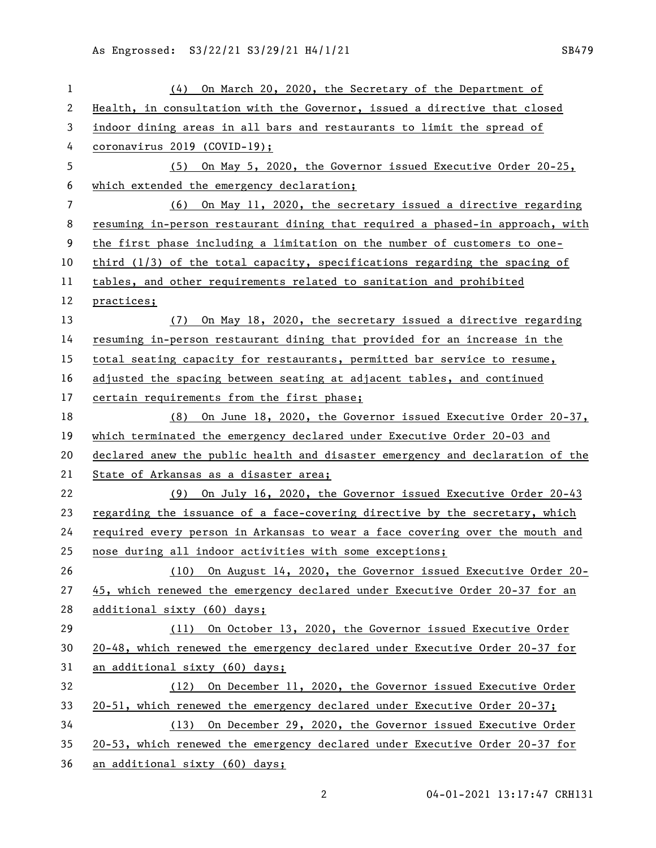As Engrossed: S3/22/21 S3/29/21 H4/1/21 SB479

| $\mathbf{1}$ | (4) On March 20, 2020, the Secretary of the Department of                       |
|--------------|---------------------------------------------------------------------------------|
| 2            | Health, in consultation with the Governor, issued a directive that closed       |
| 3            | indoor dining areas in all bars and restaurants to limit the spread of          |
| 4            | coronavirus 2019 (COVID-19);                                                    |
| 5            | (5) On May 5, 2020, the Governor issued Executive Order 20-25,                  |
| 6            | which extended the emergency declaration;                                       |
| 7            | (6) On May 11, 2020, the secretary issued a directive regarding                 |
| 8            | resuming in-person restaurant dining that required a phased-in approach, with   |
| 9            | the first phase including a limitation on the number of customers to one-       |
| 10           | third $(1/3)$ of the total capacity, specifications regarding the spacing of    |
| 11           | tables, and other requirements related to sanitation and prohibited             |
| 12           | practices;                                                                      |
| 13           | On May 18, 2020, the secretary issued a directive regarding<br>(7)              |
| 14           | resuming in-person restaurant dining that provided for an increase in the       |
| 15           | <u>total seating capacity for restaurants, permitted bar service to resume,</u> |
| 16           | adjusted the spacing between seating at adjacent tables, and continued          |
| 17           | certain requirements from the first phase;                                      |
| 18           | (8) On June 18, 2020, the Governor issued Executive Order 20-37,                |
| 19           | which terminated the emergency declared under Executive Order 20-03 and         |
| 20           | declared anew the public health and disaster emergency and declaration of the   |
| 21           | State of Arkansas as a disaster area;                                           |
| 22           | (9) On July 16, 2020, the Governor issued Executive Order 20-43                 |
| 23           | regarding the issuance of a face-covering directive by the secretary, which     |
| 24           | required every person in Arkansas to wear a face covering over the mouth and    |
| 25           | nose during all indoor activities with some exceptions;                         |
| 26           | On August 14, 2020, the Governor issued Executive Order 20-<br>(10)             |
| 27           | 45, which renewed the emergency declared under Executive Order 20-37 for an     |
| 28           | additional sixty (60) days;                                                     |
| 29           | (11) On October 13, 2020, the Governor issued Executive Order                   |
| 30           | 20-48, which renewed the emergency declared under Executive Order 20-37 for     |
| 31           | an additional sixty (60) days;                                                  |
| 32           | On December 11, 2020, the Governor issued Executive Order<br>(12)               |
| 33           | 20-51, which renewed the emergency declared under Executive Order 20-37;        |
| 34           | On December 29, 2020, the Governor issued Executive Order<br>(13)               |
| 35           | 20-53, which renewed the emergency declared under Executive Order 20-37 for     |
| 36           | an additional sixty (60) days;                                                  |

04-01-2021 13:17:47 CRH131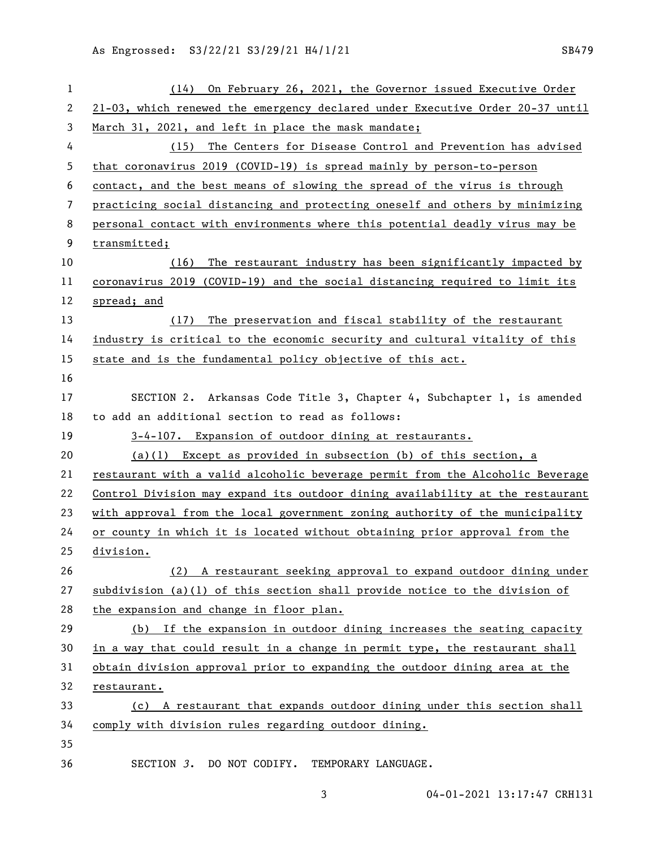As Engrossed: S3/22/21 S3/29/21 H4/1/21 SB479

| $\mathbf{1}$ | (14) On February 26, 2021, the Governor issued Executive Order                |
|--------------|-------------------------------------------------------------------------------|
| 2            | 21-03, which renewed the emergency declared under Executive Order 20-37 until |
| 3            | March 31, 2021, and left in place the mask mandate;                           |
| 4            | (15) The Centers for Disease Control and Prevention has advised               |
| 5            | that coronavirus 2019 (COVID-19) is spread mainly by person-to-person         |
| 6            | contact, and the best means of slowing the spread of the virus is through     |
| 7            | practicing social distancing and protecting oneself and others by minimizing  |
| 8            | personal contact with environments where this potential deadly virus may be   |
| 9            | transmitted;                                                                  |
| 10           | The restaurant industry has been significantly impacted by<br>(16)            |
| 11           | coronavirus 2019 (COVID-19) and the social distancing required to limit its   |
| 12           | spread; and                                                                   |
| 13           | (17) The preservation and fiscal stability of the restaurant                  |
| 14           | industry is critical to the economic security and cultural vitality of this   |
| 15           | state and is the fundamental policy objective of this act.                    |
| 16           |                                                                               |
| 17           | SECTION 2. Arkansas Code Title 3, Chapter 4, Subchapter 1, is amended         |
| 18           | to add an additional section to read as follows:                              |
|              |                                                                               |
| 19           | 3-4-107. Expansion of outdoor dining at restaurants.                          |
| 20           | $(a)(1)$ Except as provided in subsection (b) of this section, a              |
| 21           | restaurant with a valid alcoholic beverage permit from the Alcoholic Beverage |
| 22           | Control Division may expand its outdoor dining availability at the restaurant |
| 23           | with approval from the local government zoning authority of the municipality  |
| 24           | or county in which it is located without obtaining prior approval from the    |
|              | division.                                                                     |
| 26           | (2) A restaurant seeking approval to expand outdoor dining under              |
| 25<br>27     | subdivision (a)(1) of this section shall provide notice to the division of    |
| 28           | the expansion and change in floor plan.                                       |
| 29           | If the expansion in outdoor dining increases the seating capacity<br>(b)      |
| 30           | in a way that could result in a change in permit type, the restaurant shall   |
| 31           | obtain division approval prior to expanding the outdoor dining area at the    |
| 32           | restaurant.                                                                   |
| 33           | (c) A restaurant that expands outdoor dining under this section shall         |
| 34           | comply with division rules regarding outdoor dining.                          |
| 35           |                                                                               |

3 04-01-2021 13:17:47 CRH131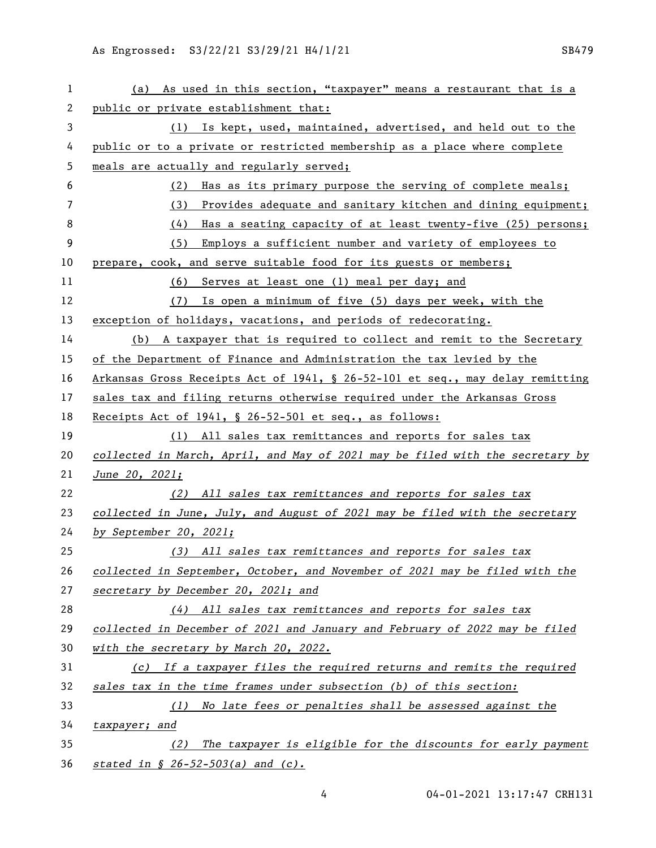| 1  | (a) As used in this section, "taxpayer" means a restaurant that is a          |
|----|-------------------------------------------------------------------------------|
| 2  | public or private establishment that:                                         |
| 3  | (1) Is kept, used, maintained, advertised, and held out to the                |
| 4  | public or to a private or restricted membership as a place where complete     |
| 5  | meals are actually and regularly served;                                      |
| 6  | (2) Has as its primary purpose the serving of complete meals;                 |
| 7  | Provides adequate and sanitary kitchen and dining equipment;<br>(3)           |
| 8  | (4)<br>Has a seating capacity of at least twenty-five (25) persons;           |
| 9  | Employs a sufficient number and variety of employees to<br>(5)                |
| 10 | prepare, cook, and serve suitable food for its guests or members;             |
| 11 | (6) Serves at least one (1) meal per day; and                                 |
| 12 | Is open a minimum of five (5) days per week, with the<br>(7)                  |
| 13 | exception of holidays, vacations, and periods of redecorating.                |
| 14 | (b) A taxpayer that is required to collect and remit to the Secretary         |
| 15 | of the Department of Finance and Administration the tax levied by the         |
| 16 | Arkansas Gross Receipts Act of 1941, § 26-52-101 et seq., may delay remitting |
| 17 | sales tax and filing returns otherwise required under the Arkansas Gross      |
| 18 | Receipts Act of 1941, § 26-52-501 et seq., as follows:                        |
| 19 | (1) All sales tax remittances and reports for sales tax                       |
| 20 | collected in March, April, and May of 2021 may be filed with the secretary by |
| 21 | June 20, 2021;                                                                |
| 22 | (2) All sales tax remittances and reports for sales tax                       |
| 23 | collected in June, July, and August of 2021 may be filed with the secretary   |
| 24 | by September 20, 2021;                                                        |
| 25 | (3) All sales tax remittances and reports for sales tax                       |
| 26 | collected in September, October, and November of 2021 may be filed with the   |
| 27 | secretary by December 20, 2021; and                                           |
| 28 | (4) All sales tax remittances and reports for sales tax                       |
| 29 | collected in December of 2021 and January and February of 2022 may be filed   |
| 30 | with the secretary by March 20, 2022.                                         |
| 31 | (c) If a taxpayer files the required returns and remits the required          |
| 32 | sales tax in the time frames under subsection (b) of this section:            |
| 33 | No late fees or penalties shall be assessed against the<br>(1)                |
| 34 | <i>taxpayer; and</i>                                                          |
| 35 | The taxpayer is eligible for the discounts for early payment<br>(2)           |
| 36 | stated in $\frac{26-52-503}{a}$ and $(c)$ .                                   |